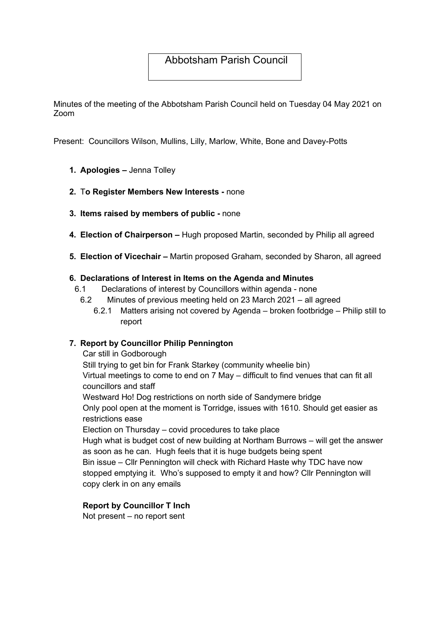# Abbotsham Parish Council

Minutes of the meeting of the Abbotsham Parish Council held on Tuesday 04 May 2021 on Zoom

Present: Councillors Wilson, Mullins, Lilly, Marlow, White, Bone and Davey-Potts

- 1. Apologies Jenna Tolley
- 2. To Register Members New Interests none
- 3. Items raised by members of public none
- 4. Election of Chairperson Hugh proposed Martin, seconded by Philip all agreed
- 5. Election of Vicechair Martin proposed Graham, seconded by Sharon, all agreed

#### 6. Declarations of Interest in Items on the Agenda and Minutes

- 6.1 Declarations of interest by Councillors within agenda none
	- 6.2 Minutes of previous meeting held on 23 March 2021 all agreed
		- 6.2.1 Matters arising not covered by Agenda broken footbridge Philip still to report

### 7. Report by Councillor Philip Pennington

Car still in Godborough

Still trying to get bin for Frank Starkey (community wheelie bin)

Virtual meetings to come to end on 7 May – difficult to find venues that can fit all councillors and staff

Westward Ho! Dog restrictions on north side of Sandymere bridge

Only pool open at the moment is Torridge, issues with 1610. Should get easier as restrictions ease

Election on Thursday – covid procedures to take place

Hugh what is budget cost of new building at Northam Burrows – will get the answer as soon as he can. Hugh feels that it is huge budgets being spent Bin issue – Cllr Pennington will check with Richard Haste why TDC have now stopped emptying it. Who's supposed to empty it and how? Cllr Pennington will copy clerk in on any emails

### Report by Councillor T Inch

Not present – no report sent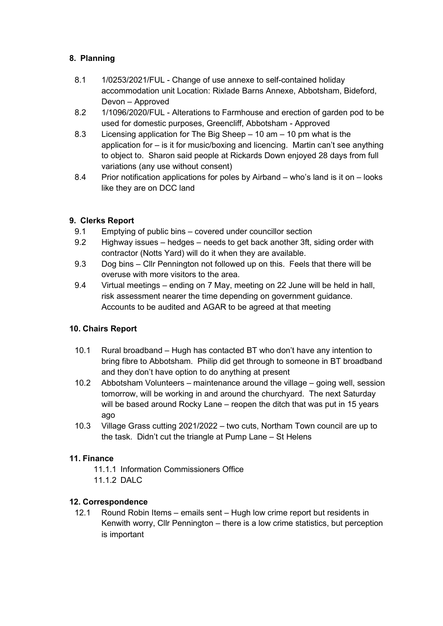### 8. Planning

- 8.1 1/0253/2021/FUL Change of use annexe to self-contained holiday accommodation unit Location: Rixlade Barns Annexe, Abbotsham, Bideford, Devon – Approved
- 8.2 1/1096/2020/FUL Alterations to Farmhouse and erection of garden pod to be used for domestic purposes, Greencliff, Abbotsham - Approved
- 8.3 Licensing application for The Big Sheep 10 am 10 pm what is the application for – is it for music/boxing and licencing. Martin can't see anything to object to. Sharon said people at Rickards Down enjoyed 28 days from full variations (any use without consent)
- 8.4 Prior notification applications for poles by Airband who's land is it on looks like they are on DCC land

### 9. Clerks Report

- 9.1 Emptying of public bins covered under councillor section
- 9.2 Highway issues hedges needs to get back another 3ft, siding order with contractor (Notts Yard) will do it when they are available.
- 9.3 Dog bins Cllr Pennington not followed up on this. Feels that there will be overuse with more visitors to the area.
- 9.4 Virtual meetings ending on 7 May, meeting on 22 June will be held in hall, risk assessment nearer the time depending on government guidance. Accounts to be audited and AGAR to be agreed at that meeting

### 10. Chairs Report

- 10.1 Rural broadband Hugh has contacted BT who don't have any intention to bring fibre to Abbotsham. Philip did get through to someone in BT broadband and they don't have option to do anything at present
- 10.2 Abbotsham Volunteers maintenance around the village going well, session tomorrow, will be working in and around the churchyard. The next Saturday will be based around Rocky Lane – reopen the ditch that was put in 15 years ago
- 10.3 Village Grass cutting 2021/2022 two cuts, Northam Town council are up to the task. Didn't cut the triangle at Pump Lane – St Helens

### 11. Finance

- 11.1.1.1 Information Commissioners Office
- 11.1.2 DALC

### 12. Correspondence

12.1 Round Robin Items – emails sent – Hugh low crime report but residents in Kenwith worry, Cllr Pennington – there is a low crime statistics, but perception is important